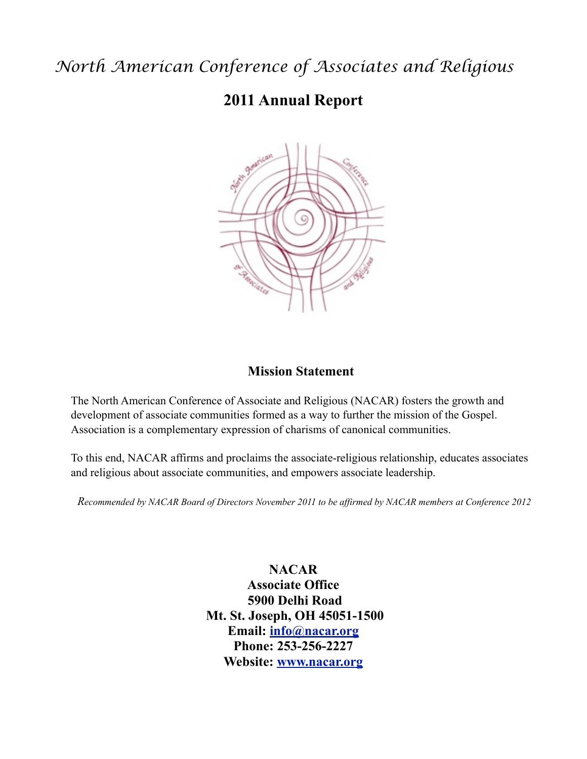# *North American Conference of Associates and Religious*

## **2011 Annual Report**



#### **Mission Statement**

The North American Conference of Associate and Religious (NACAR) fosters the growth and development of associate communities formed as a way to further the mission of the Gospel. Association is a complementary expression of charisms of canonical communities.

To this end, NACAR affirms and proclaims the associate-religious relationship, educates associates and religious about associate communities, and empowers associate leadership.

*Recommended by NACAR Board of Directors November 2011 to be affirmed by NACAR members at Conference 2012*

**NACAR Associate Office 5900 Delhi Road Mt. St. Joseph, OH 45051-1500 Email: [info@nacar.org](mailto:info@nacar.org) Phone: 253-256-2227 Website: [www.nacar.org](http://www.nacar.org)**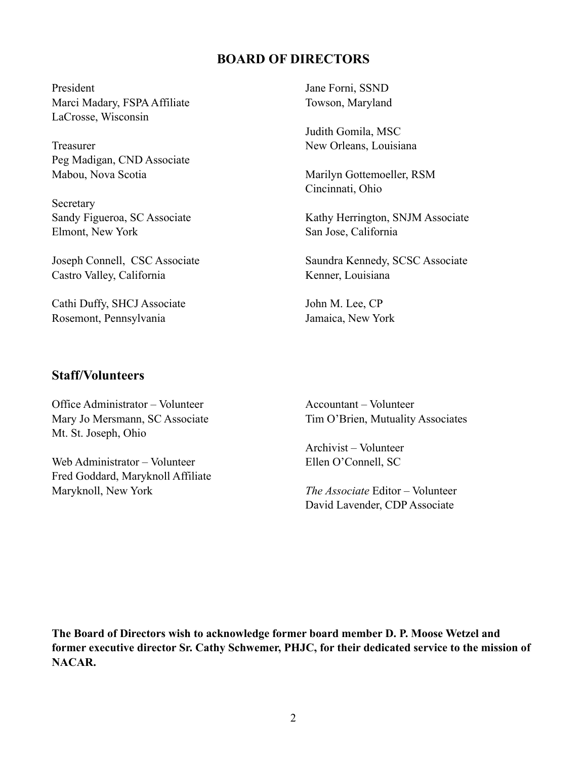#### **BOARD OF DIRECTORS**

President Marci Madary, FSPA Affiliate LaCrosse, Wisconsin

Treasurer Peg Madigan, CND Associate Mabou, Nova Scotia

Secretary Sandy Figueroa, SC Associate Elmont, New York

Joseph Connell, CSC Associate Castro Valley, California

Cathi Duffy, SHCJ Associate Rosemont, Pennsylvania

Jane Forni, SSND Towson, Maryland

Judith Gomila, MSC New Orleans, Louisiana

Marilyn Gottemoeller, RSM Cincinnati, Ohio

Kathy Herrington, SNJM Associate San Jose, California

Saundra Kennedy, SCSC Associate Kenner, Louisiana

John M. Lee, CP Jamaica, New York

#### **Staff/Volunteers**

Office Administrator – Volunteer Mary Jo Mersmann, SC Associate Mt. St. Joseph, Ohio

Web Administrator – Volunteer Fred Goddard, Maryknoll Affiliate Maryknoll, New York

Accountant – Volunteer Tim O'Brien, Mutuality Associates

Archivist – Volunteer Ellen O'Connell, SC

*The Associate* Editor – Volunteer David Lavender, CDP Associate

**The Board of Directors wish to acknowledge former board member D. P. Moose Wetzel and former executive director Sr. Cathy Schwemer, PHJC, for their dedicated service to the mission of NACAR.**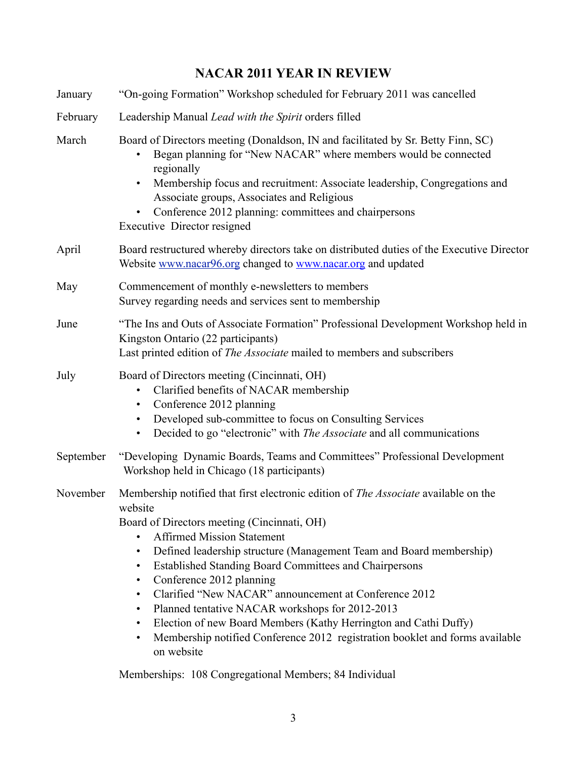### **NACAR 2011 YEAR IN REVIEW**

| January   | "On-going Formation" Workshop scheduled for February 2011 was cancelled                                                                                                                                                                                                                                                                                                                                                                                                                                                                                                                                                                                                                                                 |  |  |
|-----------|-------------------------------------------------------------------------------------------------------------------------------------------------------------------------------------------------------------------------------------------------------------------------------------------------------------------------------------------------------------------------------------------------------------------------------------------------------------------------------------------------------------------------------------------------------------------------------------------------------------------------------------------------------------------------------------------------------------------------|--|--|
| February  | Leadership Manual Lead with the Spirit orders filled                                                                                                                                                                                                                                                                                                                                                                                                                                                                                                                                                                                                                                                                    |  |  |
| March     | Board of Directors meeting (Donaldson, IN and facilitated by Sr. Betty Finn, SC)<br>Began planning for "New NACAR" where members would be connected<br>regionally<br>Membership focus and recruitment: Associate leadership, Congregations and<br>Associate groups, Associates and Religious<br>Conference 2012 planning: committees and chairpersons<br>Executive Director resigned                                                                                                                                                                                                                                                                                                                                    |  |  |
| April     | Board restructured whereby directors take on distributed duties of the Executive Director<br>Website www.nacar96.org changed to www.nacar.org and updated                                                                                                                                                                                                                                                                                                                                                                                                                                                                                                                                                               |  |  |
| May       | Commencement of monthly e-newsletters to members<br>Survey regarding needs and services sent to membership                                                                                                                                                                                                                                                                                                                                                                                                                                                                                                                                                                                                              |  |  |
| June      | "The Ins and Outs of Associate Formation" Professional Development Workshop held in<br>Kingston Ontario (22 participants)<br>Last printed edition of The Associate mailed to members and subscribers                                                                                                                                                                                                                                                                                                                                                                                                                                                                                                                    |  |  |
| July      | Board of Directors meeting (Cincinnati, OH)<br>Clarified benefits of NACAR membership<br>Conference 2012 planning<br>٠<br>Developed sub-committee to focus on Consulting Services<br>$\bullet$<br>Decided to go "electronic" with The Associate and all communications<br>$\bullet$                                                                                                                                                                                                                                                                                                                                                                                                                                     |  |  |
| September | "Developing Dynamic Boards, Teams and Committees" Professional Development<br>Workshop held in Chicago (18 participants)                                                                                                                                                                                                                                                                                                                                                                                                                                                                                                                                                                                                |  |  |
| November  | Membership notified that first electronic edition of <i>The Associate</i> available on the<br>website<br>Board of Directors meeting (Cincinnati, OH)<br><b>Affirmed Mission Statement</b><br>Defined leadership structure (Management Team and Board membership)<br>$\bullet$<br>Established Standing Board Committees and Chairpersons<br>$\bullet$<br>Conference 2012 planning<br>$\bullet$<br>Clarified "New NACAR" announcement at Conference 2012<br>$\bullet$<br>Planned tentative NACAR workshops for 2012-2013<br>$\bullet$<br>Election of new Board Members (Kathy Herrington and Cathi Duffy)<br>٠<br>Membership notified Conference 2012 registration booklet and forms available<br>$\bullet$<br>on website |  |  |

Memberships: 108 Congregational Members; 84 Individual